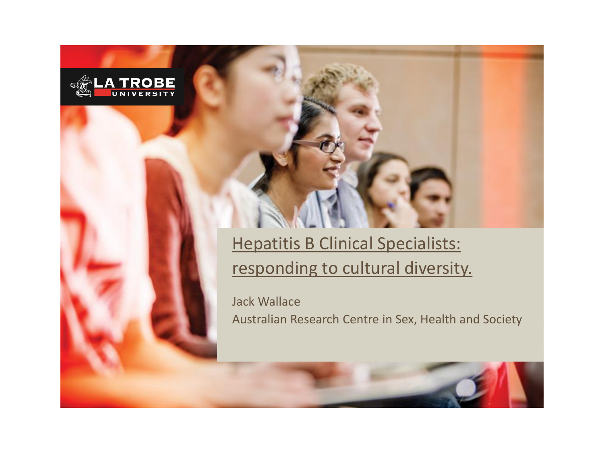

#### Hepatitis B Clinical Specialists: responding to cultural diversity.

Jack Wallace Australian Research Centre in Sex, Health and Society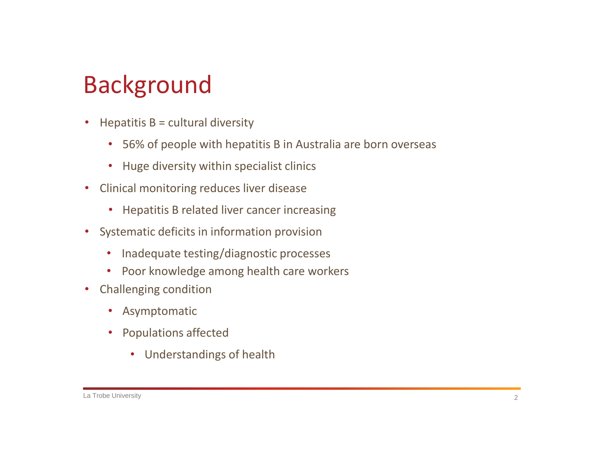# Background

- $\bullet$  Hepatitis B = cultural diversity
	- 56% of people with hepatitis B in Australia are born overseas
	- Huge diversity within specialist clinics
- Clinical monitoring reduces liver disease
	- Hepatitis B related liver cancer increasing
- Systematic deficits in information provision
	- Inadequate testing/diagnostic processes
	- Poor knowledge among health care workers
- Challenging condition
	- Asymptomatic
	- Populations affected
		- Understandings of health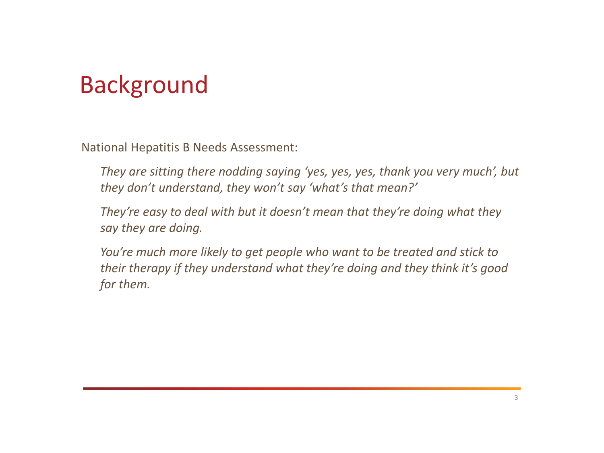## Background

National Hepatitis B Needs Assessment:

- *They are sitting there nodding saying 'yes, yes, yes, thank you very much', but they don't understand, they won't say 'what's that mean?'*
- *They're easy to deal with but it doesn't mean that they're doing what they say they are doing.*
- *You're much more likely to get people who want to be treated and stick to their therapy if they understand what they're doing and they think it's good for them.*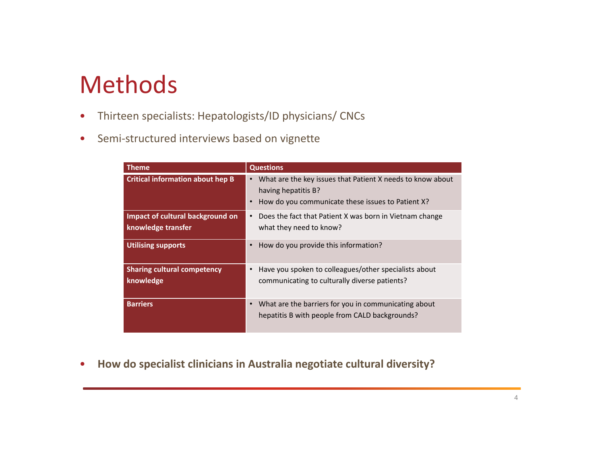### Methods

- Thirteen specialists: Hepatologists/ID physicians/ CNCs
- Semi-structured interviews based on vignette

| Theme                                                  | <b>Questions</b>                                                                                                                                    |
|--------------------------------------------------------|-----------------------------------------------------------------------------------------------------------------------------------------------------|
| <b>Critical information about hep B</b>                | What are the key issues that Patient X needs to know about<br>having hepatitis B?<br>How do you communicate these issues to Patient X?<br>$\bullet$ |
| Impact of cultural background on<br>knowledge transfer | Does the fact that Patient X was born in Vietnam change<br>$\bullet$<br>what they need to know?                                                     |
| <b>Utilising supports</b>                              | How do you provide this information?                                                                                                                |
| <b>Sharing cultural competency</b><br>knowledge        | Have you spoken to colleagues/other specialists about<br>communicating to culturally diverse patients?                                              |
| <b>Barriers</b>                                        | What are the barriers for you in communicating about<br>hepatitis B with people from CALD backgrounds?                                              |

• **How do specialist clinicians in Australia negotiate cultural diversity?**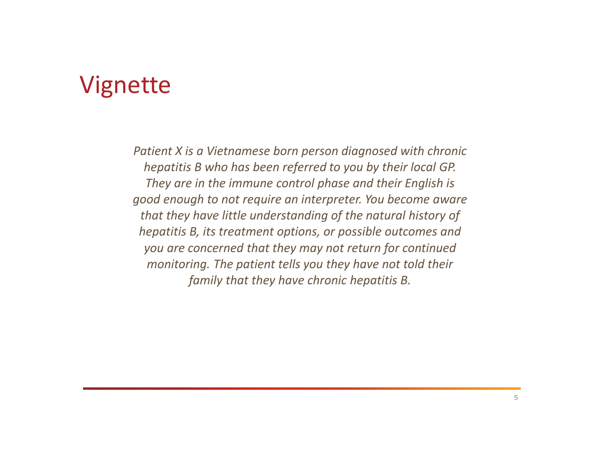#### Vignette

*Patient X is a Vietnamese born person diagnosed with chronic hepatitis B who has been referred to you by their local GP. They are in the immune control phase and their English is good enough to not require an interpreter. You become aware that they have little understanding of the natural history of hepatitis B, its treatment options, or possible outcomes and you are concerned that they may not return for continued monitoring. The patient tells you they have not told their family that they have chronic hepatitis B.*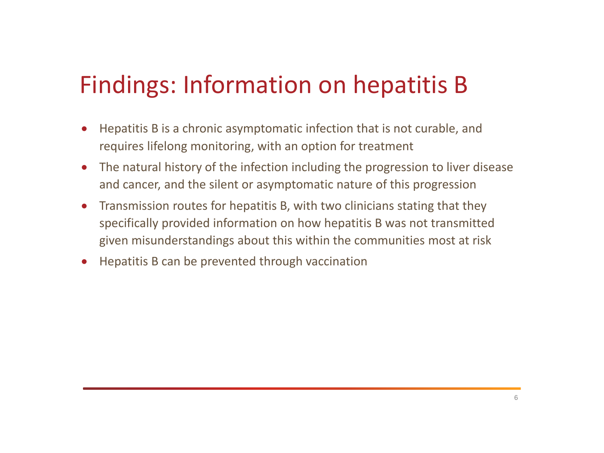# Findings: Information on hepatitis B

- Hepatitis B is a chronic asymptomatic infection that is not curable, and requires lifelong monitoring, with an option for treatment
- The natural history of the infection including the progression to liver disease and cancer, and the silent or asymptomatic nature of this progression
- Transmission routes for hepatitis B, with two clinicians stating that they specifically provided information on how hepatitis B was not transmitted given misunderstandings about this within the communities most at risk
- Hepatitis B can be prevented through vaccination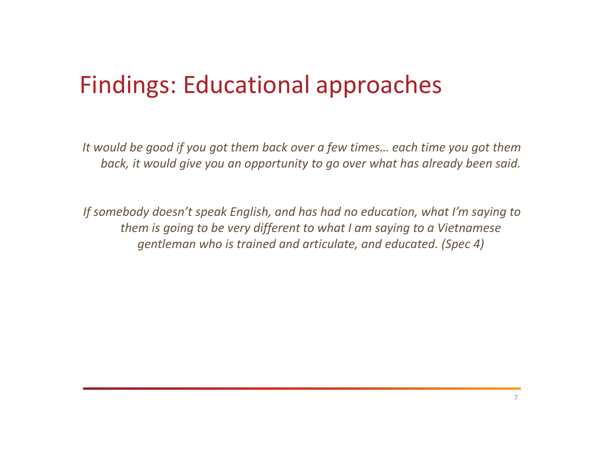## Findings: Educational approaches

*It would be good if you got them back over a few times… each time you got them back, it would give you an opportunity to go over what has already been said.* 

*If somebody doesn't speak English, and has had no education, what I'm saying to them is going to be very different to what I am saying to a Vietnamese gentleman who is trained and articulate, and educated. (Spec 4)*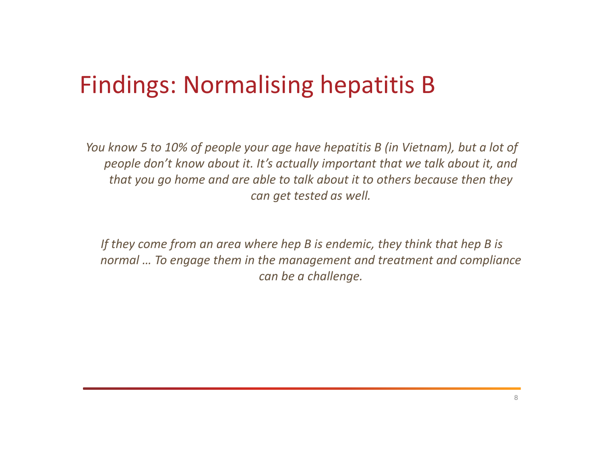## Findings: Normalising hepatitis B

*You know 5 to 10% of people your age have hepatitis B (in Vietnam), but a lot of people don't know about it. It's actually important that we talk about it, and that you go home and are able to talk about it to others because then they can get tested as well.* 

*If they come from an area where hep B is endemic, they think that hep B is normal … To engage them in the management and treatment and compliance can be a challenge.*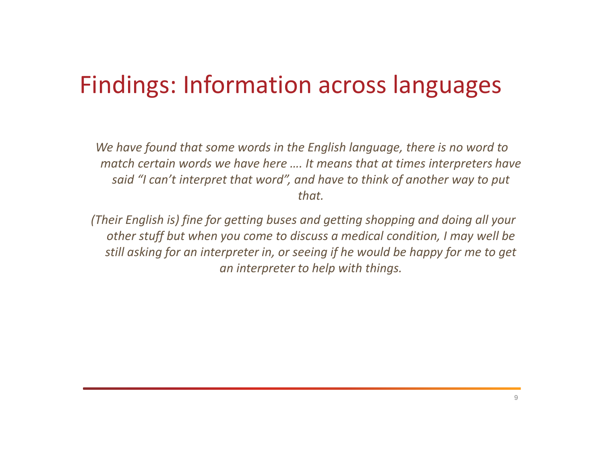## Findings: Information across languages

*We have found that some words in the English language, there is no word to match certain words we have here …. It means that at times interpreters have said "I can't interpret that word", and have to think of another way to put that.* 

*(Their English is) fine for getting buses and getting shopping and doing all your other stuff but when you come to discuss a medical condition, I may well be still asking for an interpreter in, or seeing if he would be happy for me to get an interpreter to help with things.*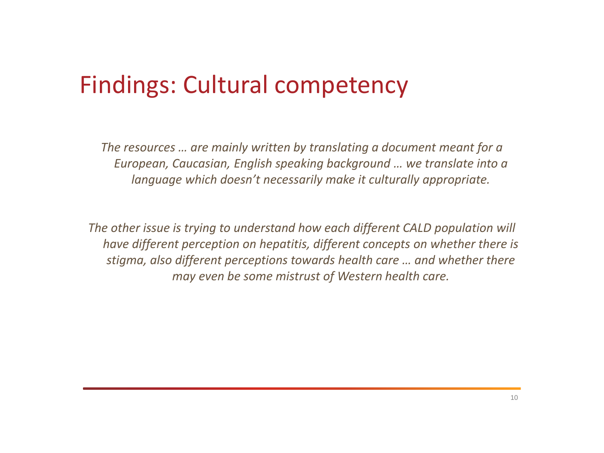### Findings: Cultural competency

*The resources … are mainly written by translating a document meant for a European, Caucasian, English speaking background … we translate into a language which doesn't necessarily make it culturally appropriate.* 

*The other issue is trying to understand how each different CALD population will have different perception on hepatitis, different concepts on whether there is stigma, also different perceptions towards health care … and whether there may even be some mistrust of Western health care.*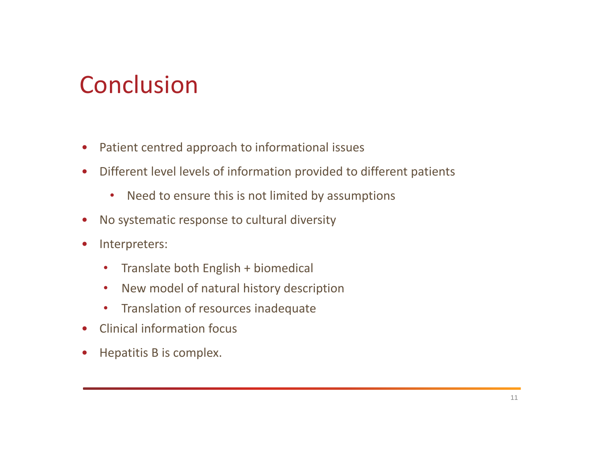# **Conclusion**

- Patient centred approach to informational issues
- Different level levels of information provided to different patients
	- Need to ensure this is not limited by assumptions
- No systematic response to cultural diversity
- Interpreters:
	- Translate both English + biomedical
	- New model of natural history description
	- Translation of resources inadequate
- Clinical information focus
- Hepatitis B is complex.